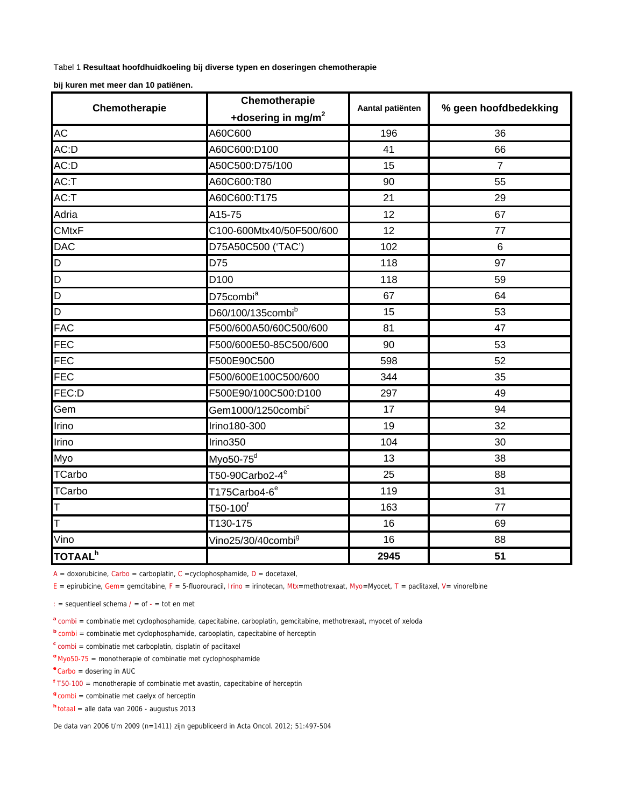Tabel 1 **Resultaat hoofdhuidkoeling bij diverse typen en doseringen chemotherapie**

**bij kuren met meer dan 10 patiënen.**

| Chemotherapie       | Chemotherapie                  | Aantal patiënten | % geen hoofdbedekking |
|---------------------|--------------------------------|------------------|-----------------------|
|                     | +dosering in mg/m <sup>2</sup> |                  |                       |
| AC                  | A60C600                        | 196              | 36                    |
| AC:D                | A60C600:D100                   | 41               | 66                    |
| AC:D                | A50C500:D75/100                | 15               | $\overline{7}$        |
| AC:T                | A60C600:T80                    | 90               | 55                    |
| AC:T                | A60C600:T175                   | 21               | 29                    |
| Adria               | A15-75                         | 12               | 67                    |
| <b>CMtxF</b>        | C100-600Mtx40/50F500/600       | 12               | 77                    |
| <b>DAC</b>          | D75A50C500 ('TAC')             | 102              | $6\phantom{1}6$       |
| D                   | D75                            | 118              | 97                    |
| D                   | D <sub>100</sub>               | 118              | 59                    |
| $\overline{D}$      | D75combi <sup>a</sup>          | 67               | 64                    |
| D                   | D60/100/135combib              | 15               | 53                    |
| <b>FAC</b>          | F500/600A50/60C500/600         | 81               | 47                    |
| FEC                 | F500/600E50-85C500/600         | 90               | 53                    |
| <b>FEC</b>          | F500E90C500                    | 598              | 52                    |
| <b>FEC</b>          | F500/600E100C500/600           | 344              | 35                    |
| FEC:D               | F500E90/100C500:D100           | 297              | 49                    |
| Gem                 | Gem1000/1250combi <sup>c</sup> | 17               | 94                    |
| Irino               | Irino180-300                   | 19               | 32                    |
| Irino               | Irino350                       | 104              | 30                    |
| Myo                 | Myo50-75 <sup>d</sup>          | 13               | 38                    |
| <b>TCarbo</b>       | T50-90Carbo2-4 <sup>e</sup>    | 25               | 88                    |
| <b>TCarbo</b>       | T175Carbo4-6 <sup>e</sup>      | 119              | 31                    |
| IΤ                  | $T50-100^\mathrm{f}$           | 163              | 77                    |
| lΤ                  | T130-175                       | 16               | 69                    |
| Vino                | Vino25/30/40combi <sup>g</sup> | 16               | 88                    |
| TOTAAL <sup>h</sup> |                                | 2945             | 51                    |

 $A =$  doxorubicine, Carbo = carboplatin, C = cyclophosphamide, D = docetaxel,

 $E =$  epirubicine, Gem= gemcitabine, F = 5-fluorouracil, Irino = irinotecan, Mtx=methotrexaat, Myo=Myocet, T = paclitaxel, V= vinorelbine

: = sequentieel schema  $/ =$  of  $- =$  tot en met

a combi = combinatie met cyclophosphamide, capecitabine, carboplatin, gemcitabine, methotrexaat, myocet of xeloda

**b** combi = combinatie met cyclophosphamide, carboplatin, capecitabine of herceptin

**<sup>c</sup>** combi = combinatie met carboplatin, cisplatin of paclitaxel

**<sup>d</sup>** Myo50-75 = monotherapie of combinatie met cyclophosphamide

**<sup>e</sup>** Carbo = dosering in AUC

**<sup>f</sup>** T50-100 = monotherapie of combinatie met avastin, capecitabine of herceptin

**<sup>g</sup>** combi = combinatie met caelyx of herceptin

**<sup>h</sup>** totaal = alle data van 2006 - augustus 2013

De data van 2006 t/m 2009 (n=1411) zijn gepubliceerd in Acta Oncol. 2012; 51:497-504